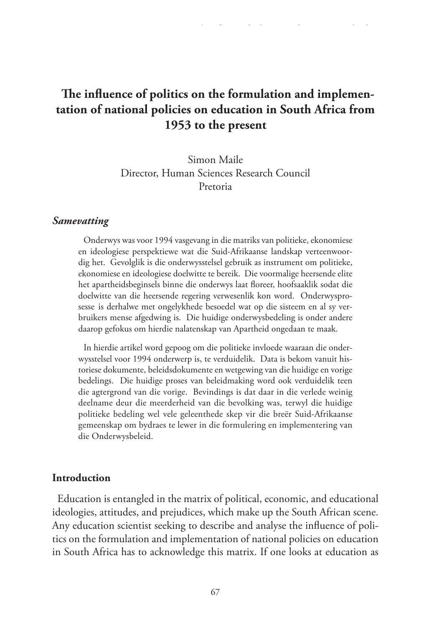# **The influence of politics on the formulation and implementation of national policies on education in South Africa from 1953 to the present**

Simon Maile Director, Human Sciences Research Council Pretoria

#### *Samevatting*

Onderwys was voor 1994 vasgevang in die matriks van politieke, ekonomiese en ideologiese perspektiewe wat die Suid-Afrikaanse landskap verteenwoordig het. Gevolglik is die onderwysstelsel gebruik as instrument om politieke, ekonomiese en ideologiese doelwitte te bereik. Die voormalige heersende elite het apartheidsbeginsels binne die onderwys laat floreer, hoofsaaklik sodat die doelwitte van die heersende regering verwesenlik kon word. Onderwysprosesse is derhalwe met ongelykhede besoedel wat op die sisteem en al sy verbruikers mense afgedwing is. Die huidige onderwysbedeling is onder andere daarop gefokus om hierdie nalatenskap van Apartheid ongedaan te maak.

In hierdie artikel word gepoog om die politieke invloede waaraan die onderwysstelsel voor 1994 onderwerp is, te verduidelik. Data is bekom vanuit historiese dokumente, beleidsdokumente en wetgewing van die huidige en vorige bedelings. Die huidige proses van beleidmaking word ook verduidelik teen die agtergrond van die vorige. Bevindings is dat daar in die verlede weinig deelname deur die meerderheid van die bevolking was, terwyl die huidige politieke bedeling wel vele geleenthede skep vir die breër Suid-Afrikaanse gemeenskap om bydraes te lewer in die formulering en implementering van die Onderwysbeleid.

#### **Introduction**

Education is entangled in the matrix of political, economic, and educational ideologies, attitudes, and prejudices, which make up the South African scene. Any education scientist seeking to describe and analyse the influence of politics on the formulation and implementation of national policies on education in South Africa has to acknowledge this matrix. If one looks at education as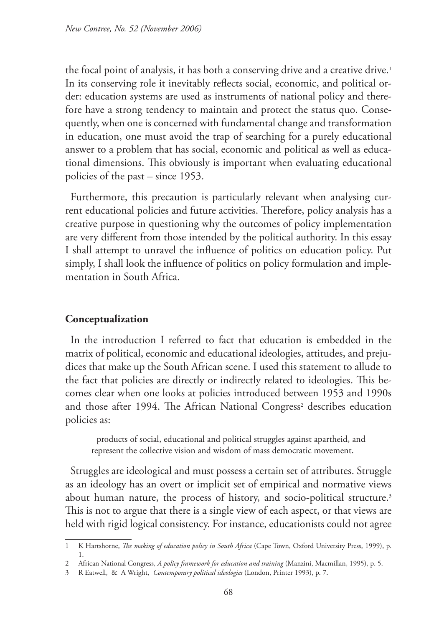the focal point of analysis, it has both a conserving drive and a creative drive.<sup>1</sup> In its conserving role it inevitably reflects social, economic, and political order: education systems are used as instruments of national policy and therefore have a strong tendency to maintain and protect the status quo. Consequently, when one is concerned with fundamental change and transformation in education, one must avoid the trap of searching for a purely educational answer to a problem that has social, economic and political as well as educational dimensions. This obviously is important when evaluating educational policies of the past – since 1953.

Furthermore, this precaution is particularly relevant when analysing current educational policies and future activities. Therefore, policy analysis has a creative purpose in questioning why the outcomes of policy implementation are very different from those intended by the political authority. In this essay I shall attempt to unravel the influence of politics on education policy. Put simply, I shall look the influence of politics on policy formulation and implementation in South Africa.

## **Conceptualization**

In the introduction I referred to fact that education is embedded in the matrix of political, economic and educational ideologies, attitudes, and prejudices that make up the South African scene. I used this statement to allude to the fact that policies are directly or indirectly related to ideologies. This becomes clear when one looks at policies introduced between 1953 and 1990s and those after 1994. The African National Congress<sup>2</sup> describes education policies as:

products of social, educational and political struggles against apartheid, and represent the collective vision and wisdom of mass democratic movement.

Struggles are ideological and must possess a certain set of attributes. Struggle as an ideology has an overt or implicit set of empirical and normative views about human nature, the process of history, and socio-political structure.<sup>3</sup> This is not to argue that there is a single view of each aspect, or that views are held with rigid logical consistency. For instance, educationists could not agree

<sup>1</sup> K Hartshorne, *The making of education policy in South Africa* (Cape Town, Oxford University Press, 1999), p. 1.

<sup>2</sup> African National Congress, *A policy framework for education and training* (Manzini, Macmillan, 1995), p. 5.

<sup>3</sup> R Eatwell, & A Wright, *Contemporary political ideologies* (London, Printer 1993), p. 7.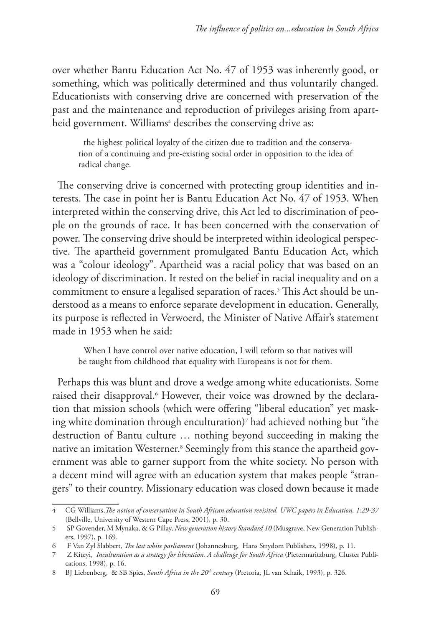over whether Bantu Education Act No. 47 of 1953 was inherently good, or something, which was politically determined and thus voluntarily changed. Educationists with conserving drive are concerned with preservation of the past and the maintenance and reproduction of privileges arising from apartheid government. Williams<sup>4</sup> describes the conserving drive as:

the highest political loyalty of the citizen due to tradition and the conservation of a continuing and pre-existing social order in opposition to the idea of radical change.

The conserving drive is concerned with protecting group identities and interests. The case in point her is Bantu Education Act No. 47 of 1953. When interpreted within the conserving drive, this Act led to discrimination of people on the grounds of race. It has been concerned with the conservation of power. The conserving drive should be interpreted within ideological perspective. The apartheid government promulgated Bantu Education Act, which was a "colour ideology". Apartheid was a racial policy that was based on an ideology of discrimination. It rested on the belief in racial inequality and on a commitment to ensure a legalised separation of races.5 This Act should be understood as a means to enforce separate development in education. Generally, its purpose is reflected in Verwoerd, the Minister of Native Affair's statement made in 1953 when he said:

When I have control over native education, I will reform so that natives will be taught from childhood that equality with Europeans is not for them.

Perhaps this was blunt and drove a wedge among white educationists. Some raised their disapproval.<sup>6</sup> However, their voice was drowned by the declaration that mission schools (which were offering "liberal education" yet masking white domination through enculturation)7 had achieved nothing but "the destruction of Bantu culture … nothing beyond succeeding in making the native an imitation Westerner.8 Seemingly from this stance the apartheid government was able to garner support from the white society. No person with a decent mind will agree with an education system that makes people "strangers" to their country. Missionary education was closed down because it made

<sup>4</sup> CG Williams,*The notion of conservatism in South African education revisited. UWC papers in Education, 1:29-37*  (Bellville, University of Western Cape Press, 2001), p. 30.

<sup>5</sup> SP Govender, M Mynaka, & G Pillay, *New generation history Standard 10* (Musgrave, New Generation Publishers, 1997), p. 169.

<sup>6</sup> F Van Zyl Slabbert, *The last white parliament* (Johannesburg, Hans Strydom Publishers, 1998), p. 11.

<sup>7</sup> Z Kiteyi, *Inculturation as a strategy for liberation. A challenge for South Africa* (Pietermaritzburg, Cluster Publications, 1998), p. 16.

<sup>8</sup> BJ Liebenberg, & SB Spies, *South Africa in the 20th century* (Pretoria, JL van Schaik, 1993), p. 326.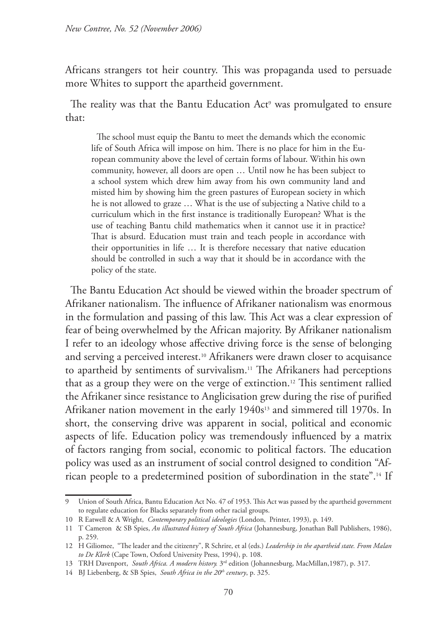Africans strangers tot heir country. This was propaganda used to persuade more Whites to support the apartheid government.

The reality was that the Bantu Education Act<sup>9</sup> was promulgated to ensure that:

The school must equip the Bantu to meet the demands which the economic life of South Africa will impose on him. There is no place for him in the European community above the level of certain forms of labour. Within his own community, however, all doors are open … Until now he has been subject to a school system which drew him away from his own community land and misted him by showing him the green pastures of European society in which he is not allowed to graze … What is the use of subjecting a Native child to a curriculum which in the first instance is traditionally European? What is the use of teaching Bantu child mathematics when it cannot use it in practice? That is absurd. Education must train and teach people in accordance with their opportunities in life … It is therefore necessary that native education should be controlled in such a way that it should be in accordance with the policy of the state.

The Bantu Education Act should be viewed within the broader spectrum of Afrikaner nationalism. The influence of Afrikaner nationalism was enormous in the formulation and passing of this law. This Act was a clear expression of fear of being overwhelmed by the African majority. By Afrikaner nationalism I refer to an ideology whose affective driving force is the sense of belonging and serving a perceived interest.10 Afrikaners were drawn closer to acquisance to apartheid by sentiments of survivalism.<sup>11</sup> The Afrikaners had perceptions that as a group they were on the verge of extinction.12 This sentiment rallied the Afrikaner since resistance to Anglicisation grew during the rise of purified Afrikaner nation movement in the early 1940s<sup>13</sup> and simmered till 1970s. In short, the conserving drive was apparent in social, political and economic aspects of life. Education policy was tremendously influenced by a matrix of factors ranging from social, economic to political factors. The education policy was used as an instrument of social control designed to condition "African people to a predetermined position of subordination in the state".14 If

<sup>9</sup> Union of South Africa, Bantu Education Act No. 47 of 1953. This Act was passed by the apartheid government to regulate education for Blacks separately from other racial groups.

<sup>10</sup> R Eatwell & A Wright, *Contemporary political ideologies* (London, Printer, 1993), p. 149.

<sup>11</sup> T Cameron & SB Spies, *An illustrated history of South Africa* (Johannesburg, Jonathan Ball Publishers, 1986), p. 259.

<sup>12</sup> H Giliomee, "The leader and the citizenry", R Schrire, et al (eds.) *Leadership in the apartheid state. From Malan to De Klerk* (Cape Town, Oxford University Press, 1994), p. 108.

<sup>13</sup> TRH Davenport, *South Africa. A modern history.* 3rd edition (Johannesburg, MacMillan,1987), p. 317.

<sup>14</sup> BJ Liebenberg, & SB Spies, *South Africa in the 20<sup>th</sup> century*, p. 325.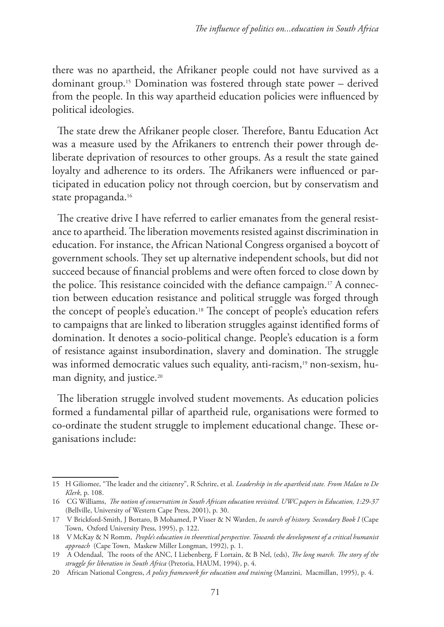there was no apartheid, the Afrikaner people could not have survived as a dominant group.15 Domination was fostered through state power – derived from the people. In this way apartheid education policies were influenced by political ideologies.

The state drew the Afrikaner people closer. Therefore, Bantu Education Act was a measure used by the Afrikaners to entrench their power through deliberate deprivation of resources to other groups. As a result the state gained loyalty and adherence to its orders. The Afrikaners were influenced or participated in education policy not through coercion, but by conservatism and state propaganda.<sup>16</sup>

The creative drive I have referred to earlier emanates from the general resistance to apartheid. The liberation movements resisted against discrimination in education. For instance, the African National Congress organised a boycott of government schools. They set up alternative independent schools, but did not succeed because of financial problems and were often forced to close down by the police. This resistance coincided with the defiance campaign.17 A connection between education resistance and political struggle was forged through the concept of people's education.18 The concept of people's education refers to campaigns that are linked to liberation struggles against identified forms of domination. It denotes a socio-political change. People's education is a form of resistance against insubordination, slavery and domination. The struggle was informed democratic values such equality, anti-racism,19 non-sexism, human dignity, and justice.<sup>20</sup>

The liberation struggle involved student movements. As education policies formed a fundamental pillar of apartheid rule, organisations were formed to co-ordinate the student struggle to implement educational change. These organisations include:

<sup>15</sup> H Giliomee, "The leader and the citizenry", R Schrire, et al. *Leadership in the apartheid state. From Malan to De Klerk*, p. 108.

<sup>16</sup> CG Williams, *The notion of conservatism in South African education revisited. UWC papers in Education, 1:29-37*  (Bellville, University of Western Cape Press, 2001), p. 30.

<sup>17</sup> V Brickford-Smith, J Bottaro, B Mohamed, P Visser & N Warden, *In search of history. Secondary Book I* (Cape Town, Oxford University Press, 1995), p. 122.

<sup>18</sup> V McKay & N Romm, *People's education in theoretical perspective. Towards the development of a critical humanist approach* (Cape Town, Maskew Miller Longman, 1992), p. 1.

<sup>19</sup> A Odendaal, The roots of the ANC, I Liebenberg, F Lortain, & B Nel, (eds), *The long march. The story of the struggle for liberation in South Africa* (Pretoria, HAUM, 1994), p. 4.

<sup>20</sup> African National Congress, *A policy framework for education and training* (Manzini, Macmillan, 1995), p. 4.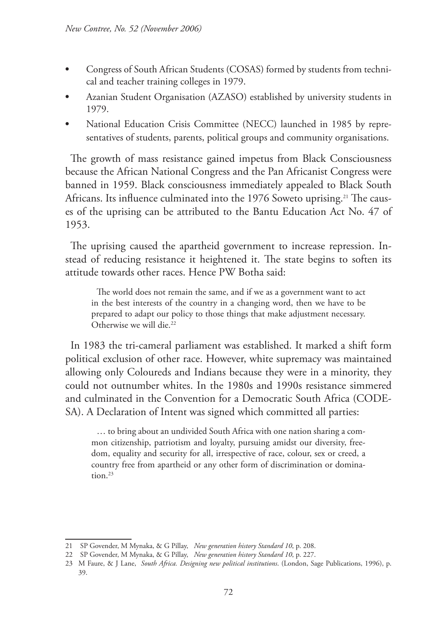- **•** Congress of South African Students (COSAS) formed by students from technical and teacher training colleges in 1979.
- **•** Azanian Student Organisation (AZASO) established by university students in 1979.
- **•** National Education Crisis Committee (NECC) launched in 1985 by representatives of students, parents, political groups and community organisations.

The growth of mass resistance gained impetus from Black Consciousness because the African National Congress and the Pan Africanist Congress were banned in 1959. Black consciousness immediately appealed to Black South Africans. Its influence culminated into the 1976 Soweto uprising.<sup>21</sup> The causes of the uprising can be attributed to the Bantu Education Act No. 47 of 1953.

The uprising caused the apartheid government to increase repression. Instead of reducing resistance it heightened it. The state begins to soften its attitude towards other races. Hence PW Botha said:

The world does not remain the same, and if we as a government want to act in the best interests of the country in a changing word, then we have to be prepared to adapt our policy to those things that make adjustment necessary. Otherwise we will die.22

In 1983 the tri-cameral parliament was established. It marked a shift form political exclusion of other race. However, white supremacy was maintained allowing only Coloureds and Indians because they were in a minority, they could not outnumber whites. In the 1980s and 1990s resistance simmered and culminated in the Convention for a Democratic South Africa (CODE-SA). A Declaration of Intent was signed which committed all parties:

… to bring about an undivided South Africa with one nation sharing a common citizenship, patriotism and loyalty, pursuing amidst our diversity, freedom, equality and security for all, irrespective of race, colour, sex or creed, a country free from apartheid or any other form of discrimination or domination.<sup>23</sup>

<sup>21</sup> SP Govender, M Mynaka, & G Pillay, *New generation history Standard 10*, p. 208.

<sup>22</sup> SP Govender, M Mynaka, & G Pillay, *New generation history Standard 10*, p. 227.

<sup>23</sup> M Faure, & J Lane, *South Africa. Designing new political institutions*. (London, Sage Publications, 1996), p. 39.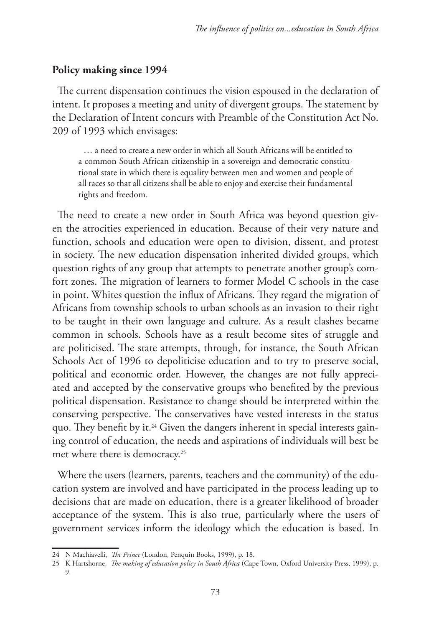#### **Policy making since 1994**

The current dispensation continues the vision espoused in the declaration of intent. It proposes a meeting and unity of divergent groups. The statement by the Declaration of Intent concurs with Preamble of the Constitution Act No. 209 of 1993 which envisages:

… a need to create a new order in which all South Africans will be entitled to a common South African citizenship in a sovereign and democratic constitutional state in which there is equality between men and women and people of all races so that all citizens shall be able to enjoy and exercise their fundamental rights and freedom.

The need to create a new order in South Africa was beyond question given the atrocities experienced in education. Because of their very nature and function, schools and education were open to division, dissent, and protest in society. The new education dispensation inherited divided groups, which question rights of any group that attempts to penetrate another group's comfort zones. The migration of learners to former Model C schools in the case in point. Whites question the influx of Africans. They regard the migration of Africans from township schools to urban schools as an invasion to their right to be taught in their own language and culture. As a result clashes became common in schools. Schools have as a result become sites of struggle and are politicised. The state attempts, through, for instance, the South African Schools Act of 1996 to depoliticise education and to try to preserve social, political and economic order. However, the changes are not fully appreciated and accepted by the conservative groups who benefited by the previous political dispensation. Resistance to change should be interpreted within the conserving perspective. The conservatives have vested interests in the status quo. They benefit by it.<sup>24</sup> Given the dangers inherent in special interests gaining control of education, the needs and aspirations of individuals will best be met where there is democracy.25

Where the users (learners, parents, teachers and the community) of the education system are involved and have participated in the process leading up to decisions that are made on education, there is a greater likelihood of broader acceptance of the system. This is also true, particularly where the users of government services inform the ideology which the education is based. In

<sup>24</sup> N Machiavelli, *The Prince* (London, Penquin Books, 1999), p. 18.

<sup>25</sup> K Hartshorne, *The making of education policy in South Africa* (Cape Town, Oxford University Press, 1999), p. 9.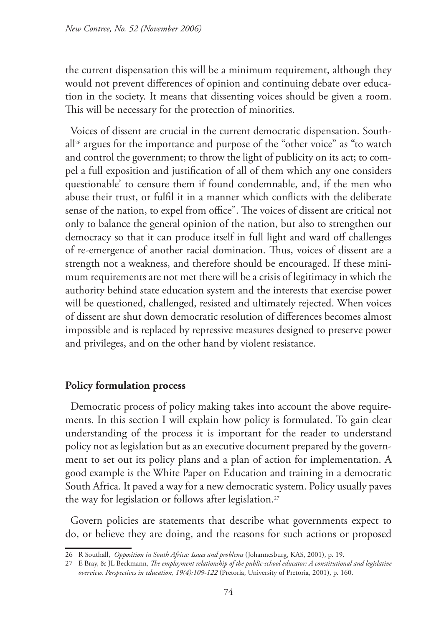the current dispensation this will be a minimum requirement, although they would not prevent differences of opinion and continuing debate over education in the society. It means that dissenting voices should be given a room. This will be necessary for the protection of minorities.

Voices of dissent are crucial in the current democratic dispensation. South $all<sup>26</sup>$  argues for the importance and purpose of the "other voice" as "to watch and control the government; to throw the light of publicity on its act; to compel a full exposition and justification of all of them which any one considers questionable' to censure them if found condemnable, and, if the men who abuse their trust, or fulfil it in a manner which conflicts with the deliberate sense of the nation, to expel from office". The voices of dissent are critical not only to balance the general opinion of the nation, but also to strengthen our democracy so that it can produce itself in full light and ward off challenges of re-emergence of another racial domination. Thus, voices of dissent are a strength not a weakness, and therefore should be encouraged. If these minimum requirements are not met there will be a crisis of legitimacy in which the authority behind state education system and the interests that exercise power will be questioned, challenged, resisted and ultimately rejected. When voices of dissent are shut down democratic resolution of differences becomes almost impossible and is replaced by repressive measures designed to preserve power and privileges, and on the other hand by violent resistance.

## **Policy formulation process**

Democratic process of policy making takes into account the above requirements. In this section I will explain how policy is formulated. To gain clear understanding of the process it is important for the reader to understand policy not as legislation but as an executive document prepared by the government to set out its policy plans and a plan of action for implementation. A good example is the White Paper on Education and training in a democratic South Africa. It paved a way for a new democratic system. Policy usually paves the way for legislation or follows after legislation.<sup>27</sup>

Govern policies are statements that describe what governments expect to do, or believe they are doing, and the reasons for such actions or proposed

<sup>26</sup> R Southall, *Opposition in South Africa: Issues and problems* (Johannesburg, KAS, 2001), p. 19.

<sup>27</sup> E Bray, & JL Beckmann, *The employment relationship of the public-school educator: A constitutional and legislative overview. Perspectives in education, 19(4):109-122* (Pretoria, University of Pretoria, 2001), p. 160.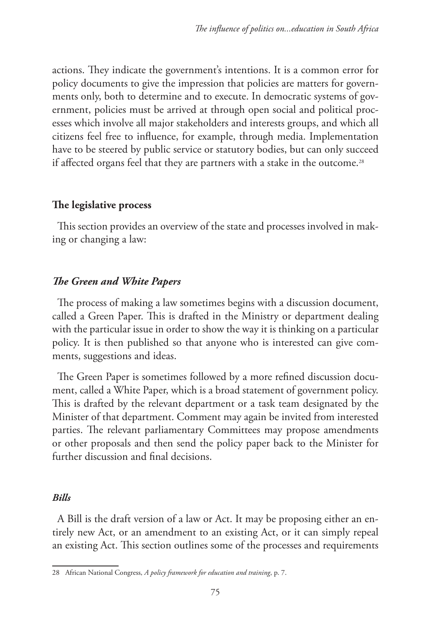actions. They indicate the government's intentions. It is a common error for policy documents to give the impression that policies are matters for governments only, both to determine and to execute. In democratic systems of government, policies must be arrived at through open social and political processes which involve all major stakeholders and interests groups, and which all citizens feel free to influence, for example, through media. Implementation have to be steered by public service or statutory bodies, but can only succeed if affected organs feel that they are partners with a stake in the outcome.<sup>28</sup>

### **The legislative process**

This section provides an overview of the state and processes involved in making or changing a law:

## *The Green and White Papers*

The process of making a law sometimes begins with a discussion document, called a Green Paper. This is drafted in the Ministry or department dealing with the particular issue in order to show the way it is thinking on a particular policy. It is then published so that anyone who is interested can give comments, suggestions and ideas.

The Green Paper is sometimes followed by a more refined discussion document, called a White Paper, which is a broad statement of government policy. This is drafted by the relevant department or a task team designated by the Minister of that department. Comment may again be invited from interested parties. The relevant parliamentary Committees may propose amendments or other proposals and then send the policy paper back to the Minister for further discussion and final decisions.

#### *Bills*

A Bill is the draft version of a law or Act. It may be proposing either an entirely new Act, or an amendment to an existing Act, or it can simply repeal an existing Act. This section outlines some of the processes and requirements

<sup>28</sup> African National Congress, *A policy framework for education and training*, p. 7.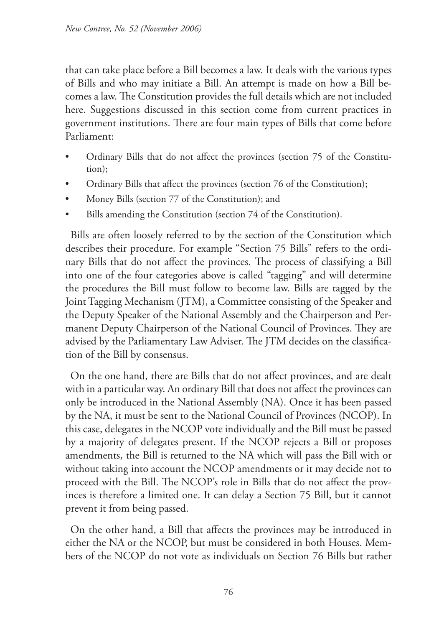that can take place before a Bill becomes a law. It deals with the various types of Bills and who may initiate a Bill. An attempt is made on how a Bill becomes a law. The Constitution provides the full details which are not included here. Suggestions discussed in this section come from current practices in government institutions. There are four main types of Bills that come before Parliament:

- Ordinary Bills that do not affect the provinces (section 75 of the Constitution);
- Ordinary Bills that affect the provinces (section 76 of the Constitution);
- Money Bills (section 77 of the Constitution); and
- Bills amending the Constitution (section 74 of the Constitution).

Bills are often loosely referred to by the section of the Constitution which describes their procedure. For example "Section 75 Bills" refers to the ordinary Bills that do not affect the provinces. The process of classifying a Bill into one of the four categories above is called "tagging" and will determine the procedures the Bill must follow to become law. Bills are tagged by the Joint Tagging Mechanism (JTM), a Committee consisting of the Speaker and the Deputy Speaker of the National Assembly and the Chairperson and Permanent Deputy Chairperson of the National Council of Provinces. They are advised by the Parliamentary Law Adviser. The JTM decides on the classification of the Bill by consensus.

On the one hand, there are Bills that do not affect provinces, and are dealt with in a particular way. An ordinary Bill that does not affect the provinces can only be introduced in the National Assembly (NA). Once it has been passed by the NA, it must be sent to the National Council of Provinces (NCOP). In this case, delegates in the NCOP vote individually and the Bill must be passed by a majority of delegates present. If the NCOP rejects a Bill or proposes amendments, the Bill is returned to the NA which will pass the Bill with or without taking into account the NCOP amendments or it may decide not to proceed with the Bill. The NCOP's role in Bills that do not affect the provinces is therefore a limited one. It can delay a Section 75 Bill, but it cannot prevent it from being passed.

On the other hand, a Bill that affects the provinces may be introduced in either the NA or the NCOP, but must be considered in both Houses. Members of the NCOP do not vote as individuals on Section 76 Bills but rather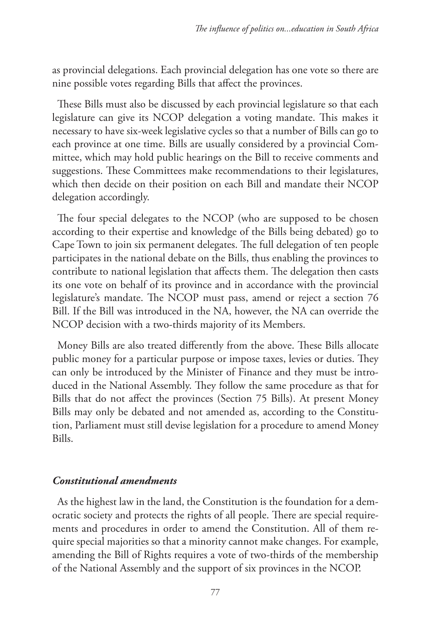as provincial delegations. Each provincial delegation has one vote so there are nine possible votes regarding Bills that affect the provinces.

These Bills must also be discussed by each provincial legislature so that each legislature can give its NCOP delegation a voting mandate. This makes it necessary to have six-week legislative cycles so that a number of Bills can go to each province at one time. Bills are usually considered by a provincial Committee, which may hold public hearings on the Bill to receive comments and suggestions. These Committees make recommendations to their legislatures, which then decide on their position on each Bill and mandate their NCOP delegation accordingly.

The four special delegates to the NCOP (who are supposed to be chosen according to their expertise and knowledge of the Bills being debated) go to Cape Town to join six permanent delegates. The full delegation of ten people participates in the national debate on the Bills, thus enabling the provinces to contribute to national legislation that affects them. The delegation then casts its one vote on behalf of its province and in accordance with the provincial legislature's mandate. The NCOP must pass, amend or reject a section 76 Bill. If the Bill was introduced in the NA, however, the NA can override the NCOP decision with a two-thirds majority of its Members.

Money Bills are also treated differently from the above. These Bills allocate public money for a particular purpose or impose taxes, levies or duties. They can only be introduced by the Minister of Finance and they must be introduced in the National Assembly. They follow the same procedure as that for Bills that do not affect the provinces (Section 75 Bills). At present Money Bills may only be debated and not amended as, according to the Constitution, Parliament must still devise legislation for a procedure to amend Money Bills.

### *Constitutional amendments*

As the highest law in the land, the Constitution is the foundation for a democratic society and protects the rights of all people. There are special requirements and procedures in order to amend the Constitution. All of them require special majorities so that a minority cannot make changes. For example, amending the Bill of Rights requires a vote of two-thirds of the membership of the National Assembly and the support of six provinces in the NCOP.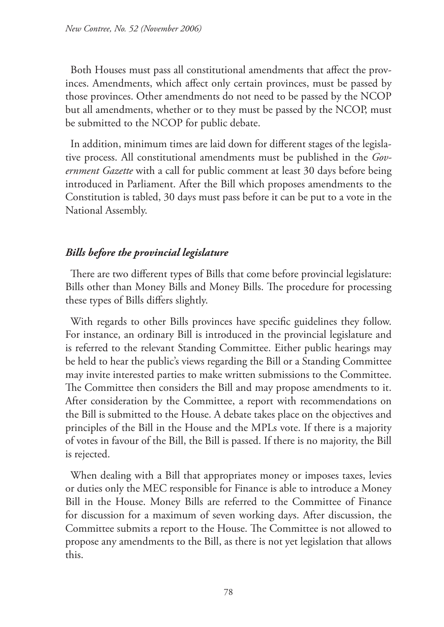Both Houses must pass all constitutional amendments that affect the provinces. Amendments, which affect only certain provinces, must be passed by those provinces. Other amendments do not need to be passed by the NCOP but all amendments, whether or to they must be passed by the NCOP, must be submitted to the NCOP for public debate.

In addition, minimum times are laid down for different stages of the legislative process. All constitutional amendments must be published in the *Government Gazette* with a call for public comment at least 30 days before being introduced in Parliament. After the Bill which proposes amendments to the Constitution is tabled, 30 days must pass before it can be put to a vote in the National Assembly.

## *Bills before the provincial legislature*

There are two different types of Bills that come before provincial legislature: Bills other than Money Bills and Money Bills. The procedure for processing these types of Bills differs slightly.

With regards to other Bills provinces have specific guidelines they follow. For instance, an ordinary Bill is introduced in the provincial legislature and is referred to the relevant Standing Committee. Either public hearings may be held to hear the public's views regarding the Bill or a Standing Committee may invite interested parties to make written submissions to the Committee. The Committee then considers the Bill and may propose amendments to it. After consideration by the Committee, a report with recommendations on the Bill is submitted to the House. A debate takes place on the objectives and principles of the Bill in the House and the MPLs vote. If there is a majority of votes in favour of the Bill, the Bill is passed. If there is no majority, the Bill is rejected.

When dealing with a Bill that appropriates money or imposes taxes, levies or duties only the MEC responsible for Finance is able to introduce a Money Bill in the House. Money Bills are referred to the Committee of Finance for discussion for a maximum of seven working days. After discussion, the Committee submits a report to the House. The Committee is not allowed to propose any amendments to the Bill, as there is not yet legislation that allows this.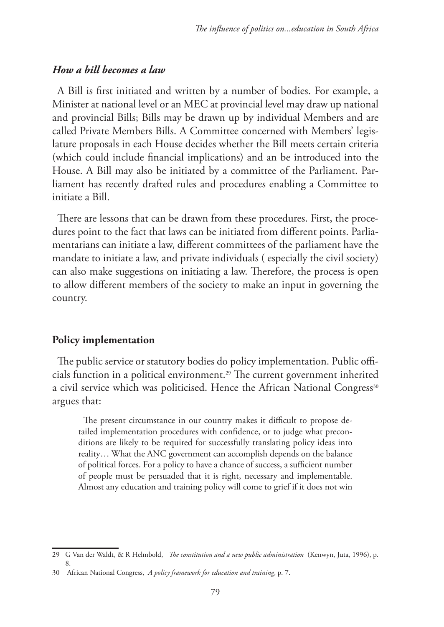### *How a bill becomes a law*

A Bill is first initiated and written by a number of bodies. For example, a Minister at national level or an MEC at provincial level may draw up national and provincial Bills; Bills may be drawn up by individual Members and are called Private Members Bills. A Committee concerned with Members' legislature proposals in each House decides whether the Bill meets certain criteria (which could include financial implications) and an be introduced into the House. A Bill may also be initiated by a committee of the Parliament. Parliament has recently drafted rules and procedures enabling a Committee to initiate a Bill.

There are lessons that can be drawn from these procedures. First, the procedures point to the fact that laws can be initiated from different points. Parliamentarians can initiate a law, different committees of the parliament have the mandate to initiate a law, and private individuals ( especially the civil society) can also make suggestions on initiating a law. Therefore, the process is open to allow different members of the society to make an input in governing the country.

#### **Policy implementation**

The public service or statutory bodies do policy implementation. Public officials function in a political environment.29 The current government inherited a civil service which was politicised. Hence the African National Congress<sup>30</sup> argues that:

The present circumstance in our country makes it difficult to propose detailed implementation procedures with confidence, or to judge what preconditions are likely to be required for successfully translating policy ideas into reality… What the ANC government can accomplish depends on the balance of political forces. For a policy to have a chance of success, a sufficient number of people must be persuaded that it is right, necessary and implementable. Almost any education and training policy will come to grief if it does not win

<sup>29</sup> G Van der Waldt, & R Helmbold, *The constitution and a new public administration* (Kenwyn, Juta, 1996), p. 8.

<sup>30</sup> African National Congress, *A policy framework for education and training*, p. 7.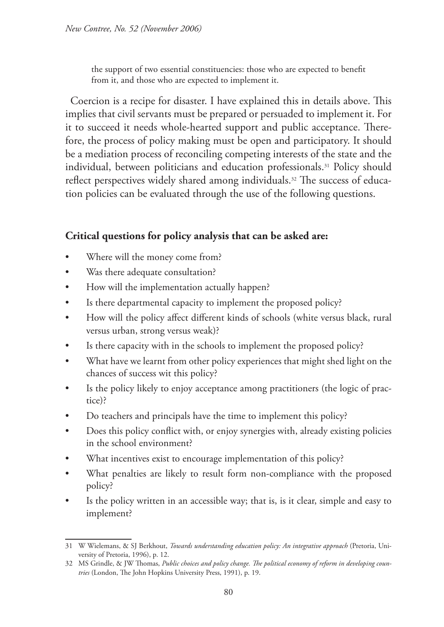the support of two essential constituencies: those who are expected to benefit from it, and those who are expected to implement it.

Coercion is a recipe for disaster. I have explained this in details above. This implies that civil servants must be prepared or persuaded to implement it. For it to succeed it needs whole-hearted support and public acceptance. Therefore, the process of policy making must be open and participatory. It should be a mediation process of reconciling competing interests of the state and the individual, between politicians and education professionals.31 Policy should reflect perspectives widely shared among individuals.<sup>32</sup> The success of education policies can be evaluated through the use of the following questions.

## **Critical questions for policy analysis that can be asked are:**

- Where will the money come from?
- Was there adequate consultation?
- How will the implementation actually happen?
- Is there departmental capacity to implement the proposed policy?
- How will the policy affect different kinds of schools (white versus black, rural versus urban, strong versus weak)?
- Is there capacity with in the schools to implement the proposed policy?
- What have we learnt from other policy experiences that might shed light on the chances of success wit this policy?
- Is the policy likely to enjoy acceptance among practitioners (the logic of practice)?
- Do teachers and principals have the time to implement this policy?
- Does this policy conflict with, or enjoy synergies with, already existing policies in the school environment?
- What incentives exist to encourage implementation of this policy?
- What penalties are likely to result form non-compliance with the proposed policy?
- Is the policy written in an accessible way; that is, is it clear, simple and easy to implement?

<sup>31</sup> W Wielemans, & SJ Berkhout, *Towards understanding education policy: An integrative approach* (Pretoria, University of Pretoria, 1996), p. 12.

<sup>32</sup> MS Grindle, & JW Thomas, *Public choices and policy change. The political economy of reform in developing countries* (London, The John Hopkins University Press, 1991), p. 19.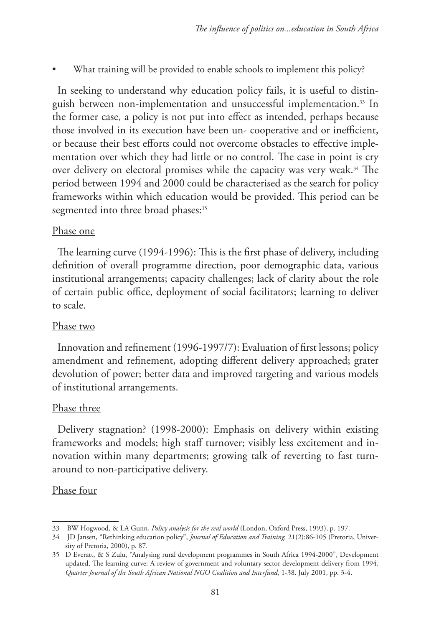What training will be provided to enable schools to implement this policy?

In seeking to understand why education policy fails, it is useful to distinguish between non-implementation and unsuccessful implementation.33 In the former case, a policy is not put into effect as intended, perhaps because those involved in its execution have been un- cooperative and or inefficient, or because their best efforts could not overcome obstacles to effective implementation over which they had little or no control. The case in point is cry over delivery on electoral promises while the capacity was very weak.<sup>34</sup> The period between 1994 and 2000 could be characterised as the search for policy frameworks within which education would be provided. This period can be segmented into three broad phases:<sup>35</sup>

### Phase one

The learning curve (1994-1996): This is the first phase of delivery, including definition of overall programme direction, poor demographic data, various institutional arrangements; capacity challenges; lack of clarity about the role of certain public office, deployment of social facilitators; learning to deliver to scale.

### Phase two

Innovation and refinement (1996-1997/7): Evaluation of first lessons; policy amendment and refinement, adopting different delivery approached; grater devolution of power; better data and improved targeting and various models of institutional arrangements.

### Phase three

Delivery stagnation? (1998-2000): Emphasis on delivery within existing frameworks and models; high staff turnover; visibly less excitement and innovation within many departments; growing talk of reverting to fast turnaround to non-participative delivery.

### Phase four

<sup>33</sup> BW Hogwood, & LA Gunn, *Policy analysis for the real world* (London, Oxford Press, 1993), p. 197.

<sup>34</sup> JD Jansen, "Rethinking education policy", *Journal of Education and Training,* 21(2):86-105 (Pretoria, University of Pretoria, 2000), p. 87.

<sup>35</sup> D Everatt, & S Zulu, "Analysing rural development programmes in South Africa 1994-2000", Development updated, The learning curve: A review of government and voluntary sector development delivery from 1994, *Quarter Journal of the South African National NGO Coalition and Interfund*, 1-38. July 2001, pp. 3-4.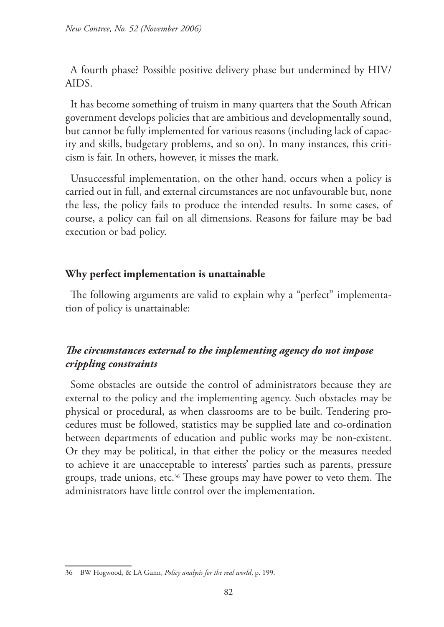A fourth phase? Possible positive delivery phase but undermined by HIV/ AIDS.

It has become something of truism in many quarters that the South African government develops policies that are ambitious and developmentally sound, but cannot be fully implemented for various reasons (including lack of capacity and skills, budgetary problems, and so on). In many instances, this criticism is fair. In others, however, it misses the mark.

Unsuccessful implementation, on the other hand, occurs when a policy is carried out in full, and external circumstances are not unfavourable but, none the less, the policy fails to produce the intended results. In some cases, of course, a policy can fail on all dimensions. Reasons for failure may be bad execution or bad policy.

#### **Why perfect implementation is unattainable**

The following arguments are valid to explain why a "perfect" implementation of policy is unattainable:

## *The circumstances external to the implementing agency do not impose crippling constraints*

Some obstacles are outside the control of administrators because they are external to the policy and the implementing agency. Such obstacles may be physical or procedural, as when classrooms are to be built. Tendering procedures must be followed, statistics may be supplied late and co-ordination between departments of education and public works may be non-existent. Or they may be political, in that either the policy or the measures needed to achieve it are unacceptable to interests' parties such as parents, pressure groups, trade unions, etc.36 These groups may have power to veto them. The administrators have little control over the implementation.

<sup>36</sup> BW Hogwood, & LA Gunn, *Policy analysis for the real world*, p. 199.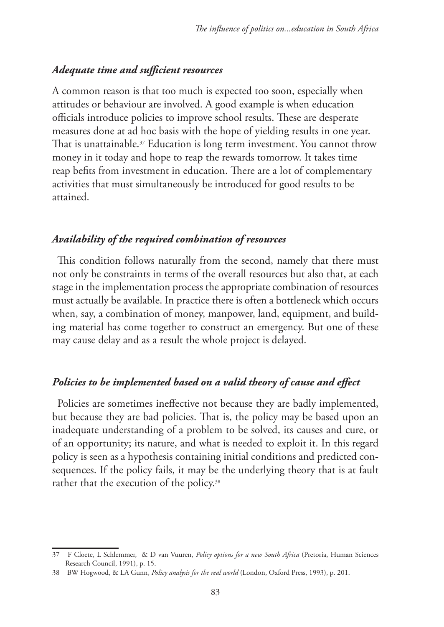### *Adequate time and sufficient resources*

A common reason is that too much is expected too soon, especially when attitudes or behaviour are involved. A good example is when education officials introduce policies to improve school results. These are desperate measures done at ad hoc basis with the hope of yielding results in one year. That is unattainable.<sup>37</sup> Education is long term investment. You cannot throw money in it today and hope to reap the rewards tomorrow. It takes time reap befits from investment in education. There are a lot of complementary activities that must simultaneously be introduced for good results to be attained.

#### *Availability of the required combination of resources*

This condition follows naturally from the second, namely that there must not only be constraints in terms of the overall resources but also that, at each stage in the implementation process the appropriate combination of resources must actually be available. In practice there is often a bottleneck which occurs when, say, a combination of money, manpower, land, equipment, and building material has come together to construct an emergency. But one of these may cause delay and as a result the whole project is delayed.

### *Policies to be implemented based on a valid theory of cause and effect*

Policies are sometimes ineffective not because they are badly implemented, but because they are bad policies. That is, the policy may be based upon an inadequate understanding of a problem to be solved, its causes and cure, or of an opportunity; its nature, and what is needed to exploit it. In this regard policy is seen as a hypothesis containing initial conditions and predicted consequences. If the policy fails, it may be the underlying theory that is at fault rather that the execution of the policy.<sup>38</sup>

<sup>37</sup> F Cloete, L Schlemmer, & D van Vuuren, *Policy options for a new South Africa* (Pretoria, Human Sciences Research Council, 1991), p. 15.

<sup>38</sup> BW Hogwood, & LA Gunn, *Policy analysis for the real world* (London, Oxford Press, 1993), p. 201.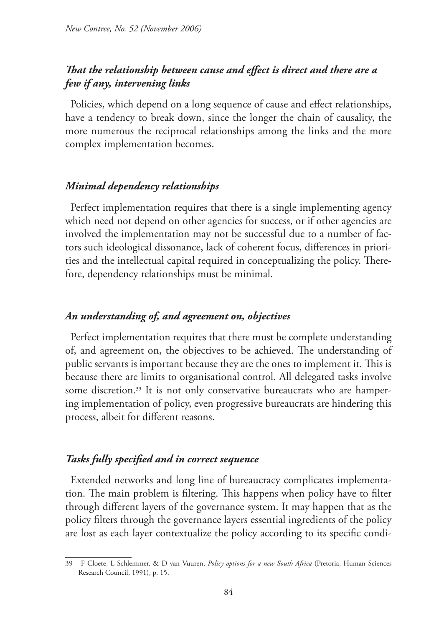## *That the relationship between cause and effect is direct and there are a few if any, intervening links*

Policies, which depend on a long sequence of cause and effect relationships, have a tendency to break down, since the longer the chain of causality, the more numerous the reciprocal relationships among the links and the more complex implementation becomes.

#### *Minimal dependency relationships*

Perfect implementation requires that there is a single implementing agency which need not depend on other agencies for success, or if other agencies are involved the implementation may not be successful due to a number of factors such ideological dissonance, lack of coherent focus, differences in priorities and the intellectual capital required in conceptualizing the policy. Therefore, dependency relationships must be minimal.

### *An understanding of, and agreement on, objectives*

Perfect implementation requires that there must be complete understanding of, and agreement on, the objectives to be achieved. The understanding of public servants is important because they are the ones to implement it. This is because there are limits to organisational control. All delegated tasks involve some discretion.<sup>39</sup> It is not only conservative bureaucrats who are hampering implementation of policy, even progressive bureaucrats are hindering this process, albeit for different reasons.

#### *Tasks fully specified and in correct sequence*

Extended networks and long line of bureaucracy complicates implementation. The main problem is filtering. This happens when policy have to filter through different layers of the governance system. It may happen that as the policy filters through the governance layers essential ingredients of the policy are lost as each layer contextualize the policy according to its specific condi-

<sup>39</sup> F Cloete, L Schlemmer, & D van Vuuren, *Policy options for a new South Africa* (Pretoria, Human Sciences Research Council, 1991), p. 15.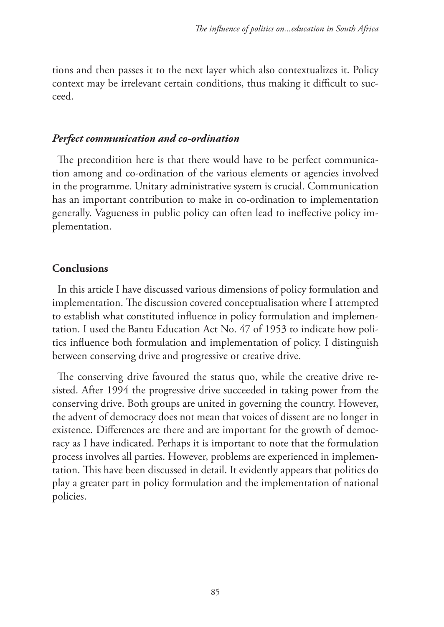tions and then passes it to the next layer which also contextualizes it. Policy context may be irrelevant certain conditions, thus making it difficult to succeed.

#### *Perfect communication and co-ordination*

The precondition here is that there would have to be perfect communication among and co-ordination of the various elements or agencies involved in the programme. Unitary administrative system is crucial. Communication has an important contribution to make in co-ordination to implementation generally. Vagueness in public policy can often lead to ineffective policy implementation.

### **Conclusions**

In this article I have discussed various dimensions of policy formulation and implementation. The discussion covered conceptualisation where I attempted to establish what constituted influence in policy formulation and implementation. I used the Bantu Education Act No. 47 of 1953 to indicate how politics influence both formulation and implementation of policy. I distinguish between conserving drive and progressive or creative drive.

The conserving drive favoured the status quo, while the creative drive resisted. After 1994 the progressive drive succeeded in taking power from the conserving drive. Both groups are united in governing the country. However, the advent of democracy does not mean that voices of dissent are no longer in existence. Differences are there and are important for the growth of democracy as I have indicated. Perhaps it is important to note that the formulation process involves all parties. However, problems are experienced in implementation. This have been discussed in detail. It evidently appears that politics do play a greater part in policy formulation and the implementation of national policies.